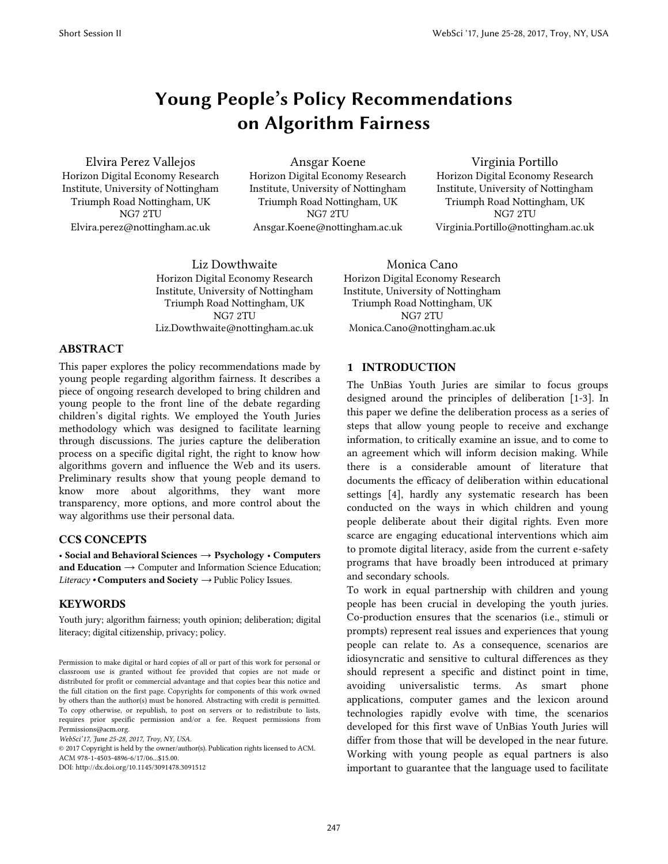# **Young People's Policy Recommendations on Algorithm Fairness**

Elvira Perez Vallejos Horizon Digital Economy Research Institute, University of Nottingham Triumph Road Nottingham, UK NG7 2TU Elvira.perez@nottingham.ac.uk

Ansgar Koene Horizon Digital Economy Research Institute, University of Nottingham Triumph Road Nottingham, UK NG7 2TU Ansgar.Koene@nottingham.ac.uk

Virginia Portillo Horizon Digital Economy Research Institute, University of Nottingham Triumph Road Nottingham, UK NG7 2TU Virginia.Portillo@nottingham.ac.uk

Liz Dowthwaite Horizon Digital Economy Research Institute, University of Nottingham Triumph Road Nottingham, UK NG7 2TU Liz.Dowthwaite@nottingham.ac.uk

Horizon Digital Economy Research Institute, University of Nottingham Triumph Road Nottingham, UK NG7 2TU Monica.Cano@nottingham.ac.uk

Monica Cano

## **ABSTRACT**

This paper explores the policy recommendations made by young people regarding algorithm fairness. It describes a piece of ongoing research developed to bring children and young people to the front line of the debate regarding children's digital rights. We employed the Youth Juries methodology which was designed to facilitate learning through discussions. The juries capture the deliberation process on a specific digital right, the right to know how algorithms govern and influence the Web and its users. Preliminary results show that young people demand to know more about algorithms, they want more transparency, more options, and more control about the way algorithms use their personal data.

# **CCS CONCEPTS**

• **Social and Behavioral Sciences** → **Psychology** • **Computers and Education**  $\rightarrow$  Computer and Information Science Education; *Literacy •* **Computers and Society** *→* Public Policy Issues*.*

#### **KEYWORDS**

Youth jury; algorithm fairness; youth opinion; deliberation; digital literacy; digital citizenship, privacy; policy.

*WebSci'17, June 25-28, 2017, Troy, NY, USA.*

© 2017 Copyright is held by the owner/author(s). Publication rights licensed to ACM. ACM 978-1-4503-4896-6/17/06...\$15.00.

DOI: http://dx.doi.org/10.1145/3091478.3091512

#### **1 INTRODUCTION**

The UnBias Youth Juries are similar to focus groups designed around the principles of deliberation [1-3]. In this paper we define the deliberation process as a series of steps that allow young people to receive and exchange information, to critically examine an issue, and to come to an agreement which will inform decision making. While there is a considerable amount of literature that documents the efficacy of deliberation within educational settings [4], hardly any systematic research has been conducted on the ways in which children and young people deliberate about their digital rights. Even more scarce are engaging educational interventions which aim to promote digital literacy, aside from the current e-safety programs that have broadly been introduced at primary and secondary schools.

To work in equal partnership with children and young people has been crucial in developing the youth juries. Co-production ensures that the scenarios (i.e., stimuli or prompts) represent real issues and experiences that young people can relate to. As a consequence, scenarios are idiosyncratic and sensitive to cultural differences as they should represent a specific and distinct point in time, avoiding universalistic terms. As smart phone applications, computer games and the lexicon around technologies rapidly evolve with time, the scenarios developed for this first wave of UnBias Youth Juries will differ from those that will be developed in the near future. Working with young people as equal partners is also important to guarantee that the language used to facilitate

Permission to make digital or hard copies of all or part of this work for personal or classroom use is granted without fee provided that copies are not made or distributed for profit or commercial advantage and that copies bear this notice and the full citation on the first page. Copyrights for components of this work owned by others than the author(s) must be honored. Abstracting with credit is permitted. To copy otherwise, or republish, to post on servers or to redistribute to lists, requires prior specific permission and/or a fee. Request permissions from Permissions@acm.org.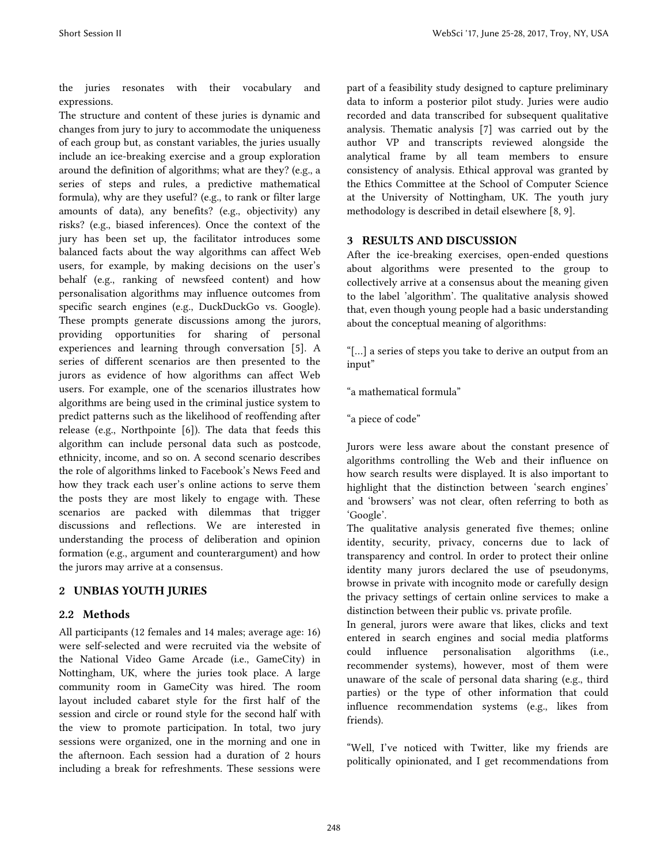the juries resonates with their vocabulary and expressions.

The structure and content of these juries is dynamic and changes from jury to jury to accommodate the uniqueness of each group but, as constant variables, the juries usually include an ice-breaking exercise and a group exploration around the definition of algorithms; what are they? (e.g., a series of steps and rules, a predictive mathematical formula), why are they useful? (e.g., to rank or filter large amounts of data), any benefits? (e.g., objectivity) any risks? (e.g., biased inferences). Once the context of the jury has been set up, the facilitator introduces some balanced facts about the way algorithms can affect Web users, for example, by making decisions on the user's behalf (e.g., ranking of newsfeed content) and how personalisation algorithms may influence outcomes from specific search engines (e.g., DuckDuckGo vs. Google). These prompts generate discussions among the jurors, providing opportunities for sharing of personal experiences and learning through conversation [5]. A series of different scenarios are then presented to the jurors as evidence of how algorithms can affect Web users. For example, one of the scenarios illustrates how algorithms are being used in the criminal justice system to predict patterns such as the likelihood of reoffending after release (e.g., Northpointe [6]). The data that feeds this algorithm can include personal data such as postcode, ethnicity, income, and so on. A second scenario describes the role of algorithms linked to Facebook's News Feed and how they track each user's online actions to serve them the posts they are most likely to engage with. These scenarios are packed with dilemmas that trigger discussions and reflections. We are interested in understanding the process of deliberation and opinion formation (e.g., argument and counterargument) and how the jurors may arrive at a consensus.

## **2 UNBIAS YOUTH JURIES**

## **2.2 Methods**

All participants (12 females and 14 males; average age: 16) were self-selected and were recruited via the website of the National Video Game Arcade (i.e., GameCity) in Nottingham, UK, where the juries took place. A large community room in GameCity was hired. The room layout included cabaret style for the first half of the session and circle or round style for the second half with the view to promote participation. In total, two jury sessions were organized, one in the morning and one in the afternoon. Each session had a duration of 2 hours including a break for refreshments. These sessions were

part of a feasibility study designed to capture preliminary data to inform a posterior pilot study. Juries were audio recorded and data transcribed for subsequent qualitative analysis. Thematic analysis [7] was carried out by the author VP and transcripts reviewed alongside the analytical frame by all team members to ensure consistency of analysis. Ethical approval was granted by the Ethics Committee at the School of Computer Science at the University of Nottingham, UK. The youth jury methodology is described in detail elsewhere [8, 9].

# **3 RESULTS AND DISCUSSION**

After the ice-breaking exercises, open-ended questions about algorithms were presented to the group to collectively arrive at a consensus about the meaning given to the label 'algorithm'. The qualitative analysis showed that, even though young people had a basic understanding about the conceptual meaning of algorithms:

"[…] a series of steps you take to derive an output from an input"

"a mathematical formula"

"a piece of code"

Jurors were less aware about the constant presence of algorithms controlling the Web and their influence on how search results were displayed. It is also important to highlight that the distinction between 'search engines' and 'browsers' was not clear, often referring to both as 'Google'.

The qualitative analysis generated five themes; online identity, security, privacy, concerns due to lack of transparency and control. In order to protect their online identity many jurors declared the use of pseudonyms, browse in private with incognito mode or carefully design the privacy settings of certain online services to make a distinction between their public vs. private profile.

In general, jurors were aware that likes, clicks and text entered in search engines and social media platforms could influence personalisation algorithms (i.e., recommender systems), however, most of them were unaware of the scale of personal data sharing (e.g., third parties) or the type of other information that could influence recommendation systems (e.g., likes from friends).

"Well, I've noticed with Twitter, like my friends are politically opinionated, and I get recommendations from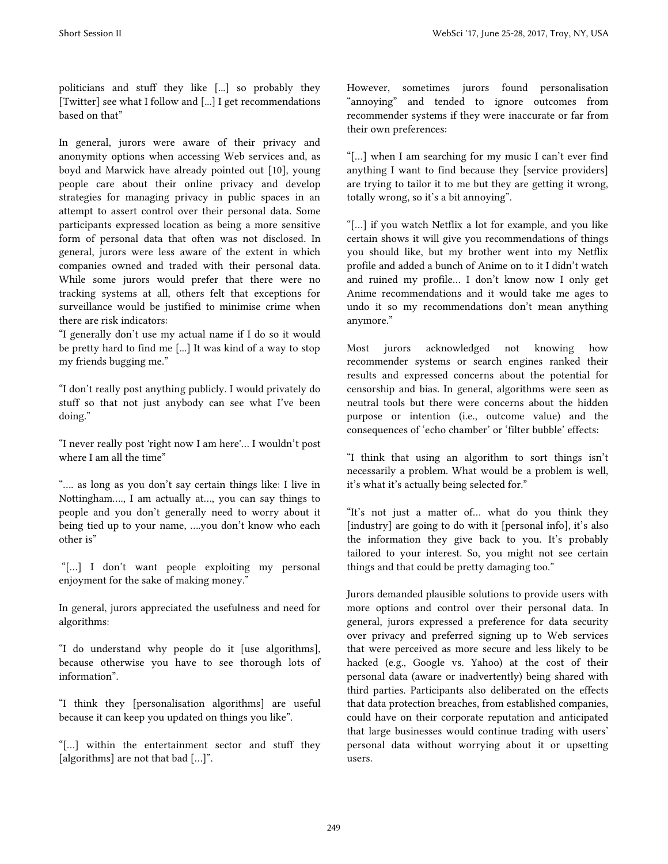politicians and stuff they like [...] so probably they [Twitter] see what I follow and [...] I get recommendations based on that"

In general, jurors were aware of their privacy and anonymity options when accessing Web services and, as boyd and Marwick have already pointed out [10], young people care about their online privacy and develop strategies for managing privacy in public spaces in an attempt to assert control over their personal data. Some participants expressed location as being a more sensitive form of personal data that often was not disclosed. In general, jurors were less aware of the extent in which companies owned and traded with their personal data. While some jurors would prefer that there were no tracking systems at all, others felt that exceptions for surveillance would be justified to minimise crime when there are risk indicators:

"I generally don't use my actual name if I do so it would be pretty hard to find me [...] It was kind of a way to stop my friends bugging me."

"I don't really post anything publicly. I would privately do stuff so that not just anybody can see what I've been doing."

"I never really post 'right now I am here'… I wouldn't post where I am all the time"

"…. as long as you don't say certain things like: I live in Nottingham…., I am actually at…, you can say things to people and you don't generally need to worry about it being tied up to your name, ….you don't know who each other is"

"[…] I don't want people exploiting my personal enjoyment for the sake of making money."

In general, jurors appreciated the usefulness and need for algorithms:

"I do understand why people do it [use algorithms], because otherwise you have to see thorough lots of information".

"I think they [personalisation algorithms] are useful because it can keep you updated on things you like".

"[…] within the entertainment sector and stuff they [algorithms] are not that bad [...]".

However, sometimes jurors found personalisation "annoying" and tended to ignore outcomes from recommender systems if they were inaccurate or far from their own preferences:

"[…] when I am searching for my music I can't ever find anything I want to find because they [service providers] are trying to tailor it to me but they are getting it wrong, totally wrong, so it's a bit annoying".

"[…] if you watch Netflix a lot for example, and you like certain shows it will give you recommendations of things you should like, but my brother went into my Netflix profile and added a bunch of Anime on to it I didn't watch and ruined my profile… I don't know now I only get Anime recommendations and it would take me ages to undo it so my recommendations don't mean anything anymore."

Most jurors acknowledged not knowing how recommender systems or search engines ranked their results and expressed concerns about the potential for censorship and bias. In general, algorithms were seen as neutral tools but there were concerns about the hidden purpose or intention (i.e., outcome value) and the consequences of 'echo chamber' or 'filter bubble' effects:

"I think that using an algorithm to sort things isn't necessarily a problem. What would be a problem is well, it's what it's actually being selected for."

"It's not just a matter of… what do you think they [industry] are going to do with it [personal info], it's also the information they give back to you. It's probably tailored to your interest. So, you might not see certain things and that could be pretty damaging too."

Jurors demanded plausible solutions to provide users with more options and control over their personal data. In general, jurors expressed a preference for data security over privacy and preferred signing up to Web services that were perceived as more secure and less likely to be hacked (e.g., Google vs. Yahoo) at the cost of their personal data (aware or inadvertently) being shared with third parties. Participants also deliberated on the effects that data protection breaches, from established companies, could have on their corporate reputation and anticipated that large businesses would continue trading with users' personal data without worrying about it or upsetting users.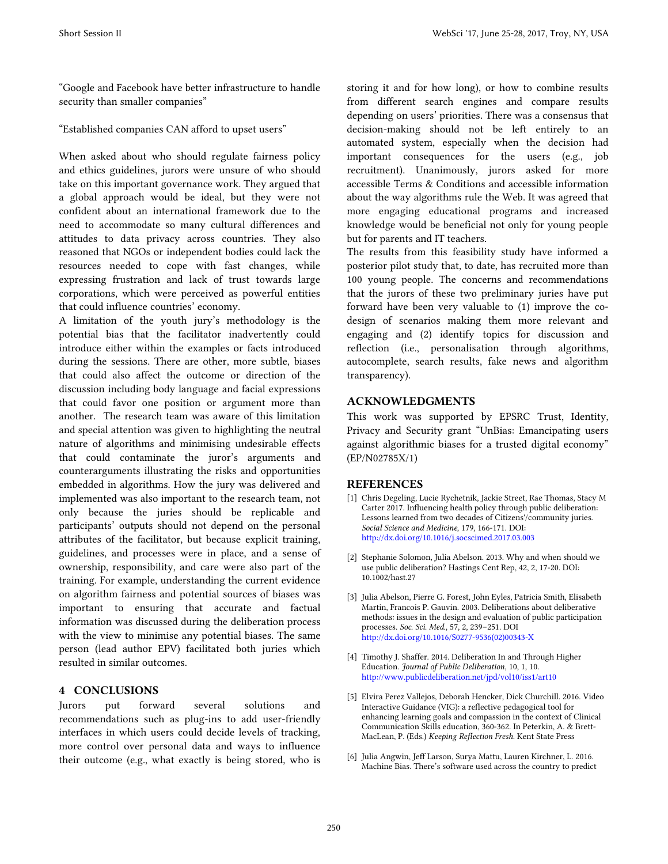"Google and Facebook have better infrastructure to handle security than smaller companies"

"Established companies CAN afford to upset users"

When asked about who should regulate fairness policy and ethics guidelines, jurors were unsure of who should take on this important governance work. They argued that a global approach would be ideal, but they were not confident about an international framework due to the need to accommodate so many cultural differences and attitudes to data privacy across countries. They also reasoned that NGOs or independent bodies could lack the resources needed to cope with fast changes, while expressing frustration and lack of trust towards large corporations, which were perceived as powerful entities that could influence countries' economy.

A limitation of the youth jury's methodology is the potential bias that the facilitator inadvertently could introduce either within the examples or facts introduced during the sessions. There are other, more subtle, biases that could also affect the outcome or direction of the discussion including body language and facial expressions that could favor one position or argument more than another. The research team was aware of this limitation and special attention was given to highlighting the neutral nature of algorithms and minimising undesirable effects that could contaminate the juror's arguments and counterarguments illustrating the risks and opportunities embedded in algorithms. How the jury was delivered and implemented was also important to the research team, not only because the juries should be replicable and participants' outputs should not depend on the personal attributes of the facilitator, but because explicit training, guidelines, and processes were in place, and a sense of ownership, responsibility, and care were also part of the training. For example, understanding the current evidence on algorithm fairness and potential sources of biases was important to ensuring that accurate and factual information was discussed during the deliberation process with the view to minimise any potential biases. The same person (lead author EPV) facilitated both juries which resulted in similar outcomes.

# **4 CONCLUSIONS**

Jurors put forward several solutions and recommendations such as plug-ins to add user-friendly interfaces in which users could decide levels of tracking, more control over personal data and ways to influence their outcome (e.g., what exactly is being stored, who is storing it and for how long), or how to combine results from different search engines and compare results depending on users' priorities. There was a consensus that decision-making should not be left entirely to an automated system, especially when the decision had important consequences for the users (e.g., job recruitment). Unanimously, jurors asked for more accessible Terms & Conditions and accessible information about the way algorithms rule the Web. It was agreed that more engaging educational programs and increased knowledge would be beneficial not only for young people but for parents and IT teachers.

The results from this feasibility study have informed a posterior pilot study that, to date, has recruited more than 100 young people. The concerns and recommendations that the jurors of these two preliminary juries have put forward have been very valuable to (1) improve the codesign of scenarios making them more relevant and engaging and (2) identify topics for discussion and reflection (i.e., personalisation through algorithms, autocomplete, search results, fake news and algorithm transparency).

## **ACKNOWLEDGMENTS**

This work was supported by EPSRC Trust, Identity, Privacy and Security grant "UnBias: Emancipating users against algorithmic biases for a trusted digital economy" (EP/N02785X/1)

## **REFERENCES**

- [1] Chris Degeling, Lucie Rychetnik, Jackie Street, Rae Thomas, Stacy M Carter 2017. Influencing health policy through public deliberation: Lessons learned from two decades of Citizens'/community juries. *Social Science and Medicine*, 179, 166-171. DOI: <http://dx.doi.org/10.1016/j.socscimed.2017.03.003>
- [2] Stephanie Solomon, Julia Abelson. 2013. Why and when should we use public deliberation? Hastings Cent Rep, 42, 2, 17-20. DOI: 10.1002/hast.27
- [3] Julia Abelson, Pierre G. Forest, John Eyles, Patricia Smith, Elisabeth Martin, Francois P. Gauvin. 2003. Deliberations about deliberative methods: issues in the design and evaluation of public participation processes. *Soc. Sci. Med*., 57, 2, 239–251. DOI [http://dx.doi.org/10.1016/S0277-9536\(02\)00343-X](http://dx.doi.org/10.1016/S0277-9536(02)00343-X)
- [4] Timothy J. Shaffer. 2014. Deliberation In and Through Higher Education. *Journal of Public Deliberation*, 10, 1, 10. <http://www.publicdeliberation.net/jpd/vol10/iss1/art10>
- [5] Elvira Perez Vallejos, Deborah Hencker, Dick Churchill. 2016. Video Interactive Guidance (VIG): a reflective pedagogical tool for enhancing learning goals and compassion in the context of Clinical Communication Skills education, 360-362. In Peterkin, A. & Brett-MacLean, P. (Eds.) *Keeping Reflection Fresh*. Kent State Press
- [6] Julia Angwin, Jeff Larson, Surya Mattu, Lauren Kirchner, L. 2016. Machine Bias. There's software used across the country to predict